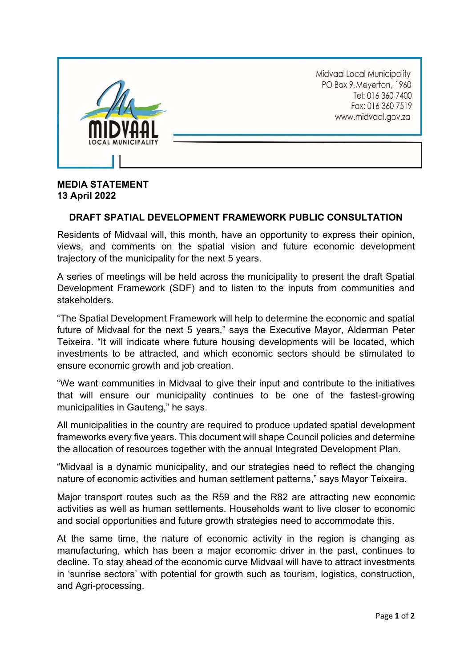

## **MEDIA STATEMENT 13 April 2022**

## **DRAFT SPATIAL DEVELOPMENT FRAMEWORK PUBLIC CONSULTATION**

Residents of Midvaal will, this month, have an opportunity to express their opinion, views, and comments on the spatial vision and future economic development trajectory of the municipality for the next 5 years.

A series of meetings will be held across the municipality to present the draft Spatial Development Framework (SDF) and to listen to the inputs from communities and stakeholders.

"The Spatial Development Framework will help to determine the economic and spatial future of Midvaal for the next 5 years," says the Executive Mayor, Alderman Peter Teixeira. "It will indicate where future housing developments will be located, which investments to be attracted, and which economic sectors should be stimulated to ensure economic growth and job creation.

"We want communities in Midvaal to give their input and contribute to the initiatives that will ensure our municipality continues to be one of the fastest-growing municipalities in Gauteng," he says.

All municipalities in the country are required to produce updated spatial development frameworks every five years. This document will shape Council policies and determine the allocation of resources together with the annual Integrated Development Plan.

"Midvaal is a dynamic municipality, and our strategies need to reflect the changing nature of economic activities and human settlement patterns," says Mayor Teixeira.

Major transport routes such as the R59 and the R82 are attracting new economic activities as well as human settlements. Households want to live closer to economic and social opportunities and future growth strategies need to accommodate this.

At the same time, the nature of economic activity in the region is changing as manufacturing, which has been a major economic driver in the past, continues to decline. To stay ahead of the economic curve Midvaal will have to attract investments in 'sunrise sectors' with potential for growth such as tourism, logistics, construction, and Agri-processing.